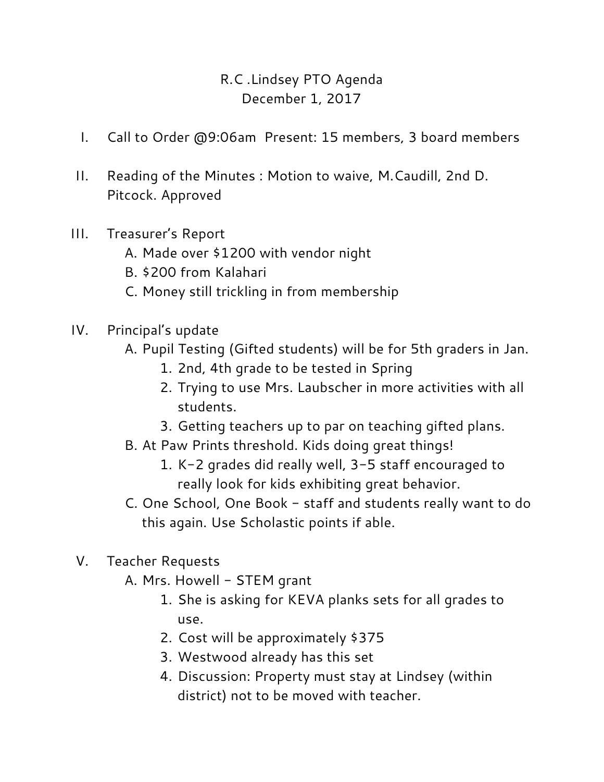## R.C .Lindsey PTO Agenda December 1, 2017

- I. Call to Order @9:06am Present: 15 members, 3 board members
- II. Reading of the Minutes : Motion to waive, M.Caudill, 2nd D. Pitcock. Approved
- III. Treasurer's Report
	- A. Made over \$1200 with vendor night
	- B. \$200 from Kalahari
	- C. Money still trickling in from membership
- IV. Principal's update
	- A. Pupil Testing (Gifted students) will be for 5th graders in Jan.
		- 1. 2nd, 4th grade to be tested in Spring
		- 2. Trying to use Mrs. Laubscher in more activities with all students.
		- 3. Getting teachers up to par on teaching gifted plans.
	- B. At Paw Prints threshold. Kids doing great things!
		- 1. K-2 grades did really well, 3-5 staff encouraged to really look for kids exhibiting great behavior.
	- C. One School, One Book staff and students really want to do this again. Use Scholastic points if able.
- V. Teacher Requests
	- A. Mrs. Howell STEM grant
		- 1. She is asking for KEVA planks sets for all grades to use.
		- 2. Cost will be approximately \$375
		- 3. Westwood already has this set
		- 4. Discussion: Property must stay at Lindsey (within district) not to be moved with teacher.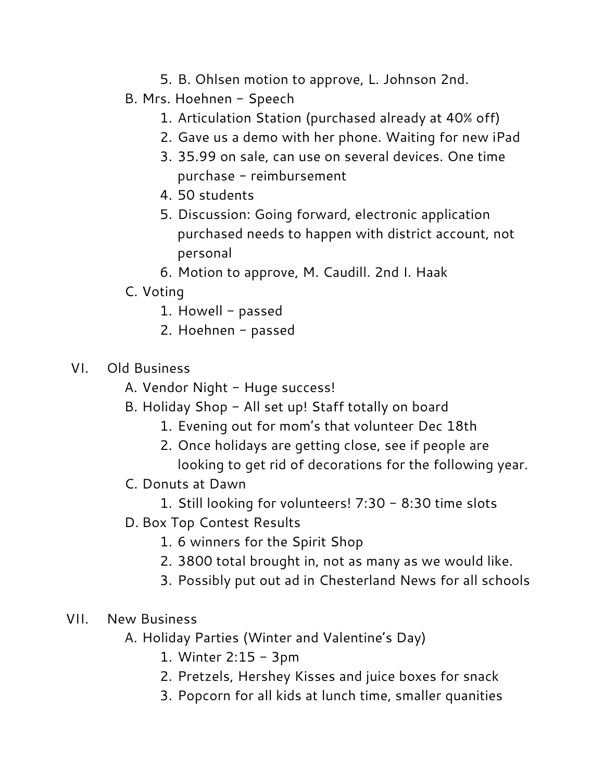- 5. B. Ohlsen motion to approve, L. Johnson 2nd.
- B. Mrs. Hoehnen Speech
	- 1. Articulation Station (purchased already at 40% off)
	- 2. Gave us a demo with her phone. Waiting for new iPad
	- 3. 35.99 on sale, can use on several devices. One time purchase - reimbursement
	- 4. 50 students
	- 5. Discussion: Going forward, electronic application purchased needs to happen with district account, not personal
	- 6. Motion to approve, M. Caudill. 2nd I. Haak
- C. Voting
	- 1. Howell passed
	- 2. Hoehnen passed
- VI. Old Business
	- A. Vendor Night Huge success!
	- B. Holiday Shop All set up! Staff totally on board
		- 1. Evening out for mom's that volunteer Dec 18th
		- 2. Once holidays are getting close, see if people are looking to get rid of decorations for the following year.
	- C. Donuts at Dawn
		- 1. Still looking for volunteers! 7:30 8:30 time slots
	- D. Box Top Contest Results
		- 1. 6 winners for the Spirit Shop
		- 2. 3800 total brought in, not as many as we would like.
		- 3. Possibly put out ad in Chesterland News for all schools
- VII. New Business
	- A. Holiday Parties (Winter and Valentine's Day)
		- 1. Winter 2:15 3pm
		- 2. Pretzels, Hershey Kisses and juice boxes for snack
		- 3. Popcorn for all kids at lunch time, smaller quanities